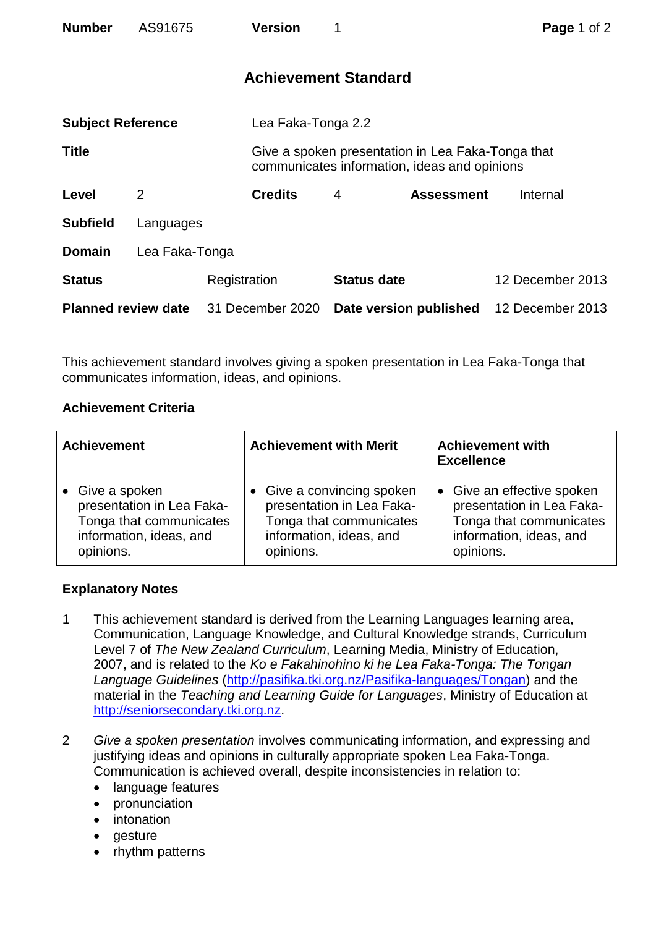| <b>Number</b>              | AS91675        |              | <b>Version</b>     | 1                           |                                                                                                   | Page 1 of 2      |  |
|----------------------------|----------------|--------------|--------------------|-----------------------------|---------------------------------------------------------------------------------------------------|------------------|--|
|                            |                |              |                    | <b>Achievement Standard</b> |                                                                                                   |                  |  |
| <b>Subject Reference</b>   |                |              | Lea Faka-Tonga 2.2 |                             |                                                                                                   |                  |  |
| <b>Title</b>               |                |              |                    |                             | Give a spoken presentation in Lea Faka-Tonga that<br>communicates information, ideas and opinions |                  |  |
| Level                      | 2              |              | <b>Credits</b>     | 4                           | <b>Assessment</b>                                                                                 | Internal         |  |
| <b>Subfield</b>            | Languages      |              |                    |                             |                                                                                                   |                  |  |
| <b>Domain</b>              | Lea Faka-Tonga |              |                    |                             |                                                                                                   |                  |  |
| <b>Status</b>              |                | Registration |                    | <b>Status date</b>          |                                                                                                   | 12 December 2013 |  |
| <b>Planned review date</b> |                |              | 31 December 2020   | Date version published      |                                                                                                   | 12 December 2013 |  |

This achievement standard involves giving a spoken presentation in Lea Faka-Tonga that communicates information, ideas, and opinions.

## **Achievement Criteria**

| <b>Achievement</b>        | <b>Achievement with Merit</b> | <b>Achievement with</b><br><b>Excellence</b> |
|---------------------------|-------------------------------|----------------------------------------------|
| Give a spoken             | • Give a convincing spoken    | • Give an effective spoken                   |
| presentation in Lea Faka- | presentation in Lea Faka-     | presentation in Lea Faka-                    |
| Tonga that communicates   | Tonga that communicates       | Tonga that communicates                      |
| information, ideas, and   | information, ideas, and       | information, ideas, and                      |
| opinions.                 | opinions.                     | opinions.                                    |

## **Explanatory Notes**

- 1 This achievement standard is derived from the Learning Languages learning area, Communication, Language Knowledge, and Cultural Knowledge strands, Curriculum Level 7 of *The New Zealand Curriculum*, Learning Media, Ministry of Education, 2007, and is related to the *Ko e Fakahinohino ki he Lea Faka-Tonga: The Tongan Language Guidelines* [\(http://pasifika.tki.org.nz/Pasifika-languages/Tongan\)](http://pasifika.tki.org.nz/Pasifika-languages/Tongan) and the material in the *Teaching and Learning Guide for Languages*, Ministry of Education at [http://seniorsecondary.tki.org.nz.](http://seniorsecondary.tki.org.nz/)
- 2 *Give a spoken presentation* involves communicating information, and expressing and justifying ideas and opinions in culturally appropriate spoken Lea Faka-Tonga. Communication is achieved overall, despite inconsistencies in relation to:
	- language features
	- pronunciation
	- intonation
	- gesture
	- rhythm patterns